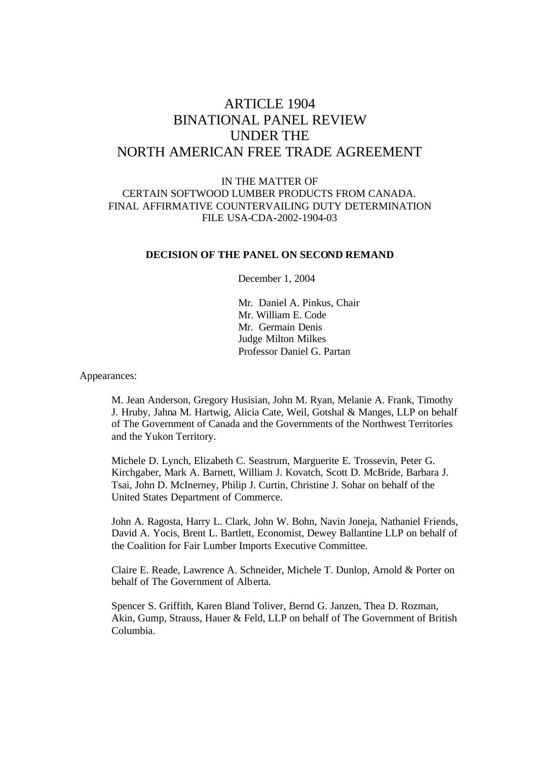# ARTICLE 1904 BINATIONAL PANEL REVIEW UNDER THE NORTH AMERICAN FREE TRADE AGREEMENT

# IN THE MATTER OF CERTAIN SOFTWOOD LUMBER PRODUCTS FROM CANADA. FINAL AFFIRMATIVE COUNTERVAILING DUTY DETERMINATION FILE USA-CDA-2002-1904-03

# **DECISION OF THE PANEL ON SECOND REMAND**

December 1, 2004

Mr. Daniel A. Pinkus, Chair Mr. William E. Code Mr. Germain Denis Judge Milton Milkes Professor Daniel G. Partan

Appearances:

M. Jean Anderson, Gregory Husisian, John M. Ryan, Melanie A. Frank, Timothy J. Hruby, Jahna M. Hartwig, Alicia Cate, Weil, Gotshal & Manges, LLP on behalf of The Government of Canada and the Governments of the Northwest Territories and the Yukon Territory.

Michele D. Lynch, Elizabeth C. Seastrum, Marguerite E. Trossevin, Peter G. Kirchgaber, Mark A. Barnett, William J. Kovatch, Scott D. McBride, Barbara J. Tsai, John D. McInerney, Philip J. Curtin, Christine J. Sohar on behalf of the United States Department of Commerce.

John A. Ragosta, Harry L. Clark, John W. Bohn, Navin Joneja, Nathaniel Friends, David A. Yocis, Brent L. Bartlett, Economist, Dewey Ballantine LLP on behalf of the Coalition for Fair Lumber Imports Executive Committee.

Claire E. Reade, Lawrence A. Schneider, Michele T. Dunlop, Arnold & Porter on behalf of The Government of Alberta.

Spencer S. Griffith, Karen Bland Toliver, Bernd G. Janzen, Thea D. Rozman, Akin, Gump, Strauss, Hauer & Feld, LLP on behalf of The Government of British Columbia.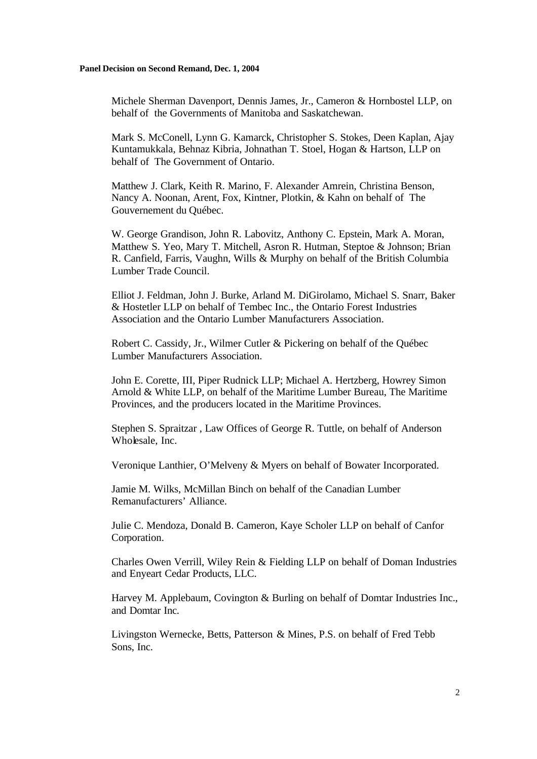Michele Sherman Davenport, Dennis James, Jr., Cameron & Hornbostel LLP, on behalf of the Governments of Manitoba and Saskatchewan.

Mark S. McConell, Lynn G. Kamarck, Christopher S. Stokes, Deen Kaplan, Ajay Kuntamukkala, Behnaz Kibria, Johnathan T. Stoel, Hogan & Hartson, LLP on behalf of The Government of Ontario.

Matthew J. Clark, Keith R. Marino, F. Alexander Amrein, Christina Benson, Nancy A. Noonan, Arent, Fox, Kintner, Plotkin, & Kahn on behalf of The Gouvernement du Québec.

W. George Grandison, John R. Labovitz, Anthony C. Epstein, Mark A. Moran, Matthew S. Yeo, Mary T. Mitchell, Asron R. Hutman, Steptoe & Johnson; Brian R. Canfield, Farris, Vaughn, Wills & Murphy on behalf of the British Columbia Lumber Trade Council.

Elliot J. Feldman, John J. Burke, Arland M. DiGirolamo, Michael S. Snarr, Baker & Hostetler LLP on behalf of Tembec Inc., the Ontario Forest Industries Association and the Ontario Lumber Manufacturers Association.

Robert C. Cassidy, Jr., Wilmer Cutler & Pickering on behalf of the Québec Lumber Manufacturers Association.

John E. Corette, III, Piper Rudnick LLP; Michael A. Hertzberg, Howrey Simon Arnold & White LLP, on behalf of the Maritime Lumber Bureau, The Maritime Provinces, and the producers located in the Maritime Provinces.

Stephen S. Spraitzar , Law Offices of George R. Tuttle, on behalf of Anderson Wholesale, Inc.

Veronique Lanthier, O'Melveny & Myers on behalf of Bowater Incorporated.

Jamie M. Wilks, McMillan Binch on behalf of the Canadian Lumber Remanufacturers' Alliance.

Julie C. Mendoza, Donald B. Cameron, Kaye Scholer LLP on behalf of Canfor Corporation.

Charles Owen Verrill, Wiley Rein & Fielding LLP on behalf of Doman Industries and Enyeart Cedar Products, LLC.

Harvey M. Applebaum, Covington & Burling on behalf of Domtar Industries Inc., and Domtar Inc.

Livingston Wernecke, Betts, Patterson & Mines, P.S. on behalf of Fred Tebb Sons, Inc.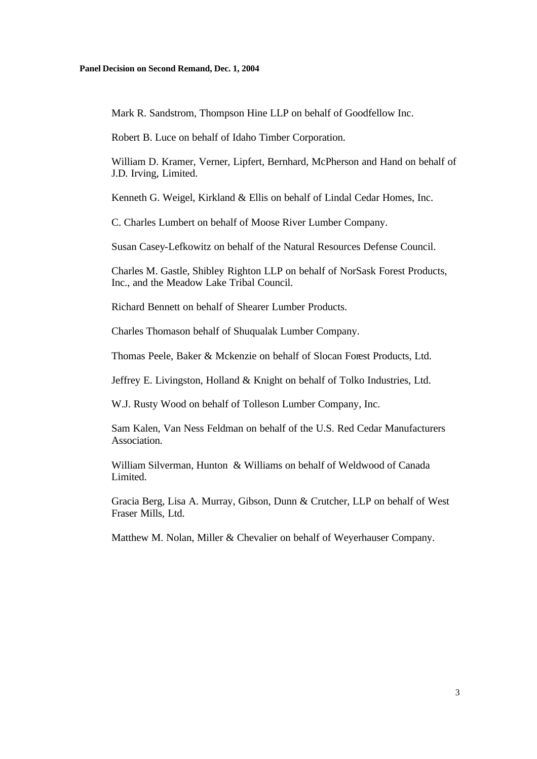Mark R. Sandstrom, Thompson Hine LLP on behalf of Goodfellow Inc.

Robert B. Luce on behalf of Idaho Timber Corporation.

William D. Kramer, Verner, Lipfert, Bernhard, McPherson and Hand on behalf of J.D. Irving, Limited.

Kenneth G. Weigel, Kirkland & Ellis on behalf of Lindal Cedar Homes, Inc.

C. Charles Lumbert on behalf of Moose River Lumber Company.

Susan Casey-Lefkowitz on behalf of the Natural Resources Defense Council.

Charles M. Gastle, Shibley Righton LLP on behalf of NorSask Forest Products, Inc., and the Meadow Lake Tribal Council.

Richard Bennett on behalf of Shearer Lumber Products.

Charles Thomason behalf of Shuqualak Lumber Company.

Thomas Peele, Baker & Mckenzie on behalf of Slocan Forest Products, Ltd.

Jeffrey E. Livingston, Holland & Knight on behalf of Tolko Industries, Ltd.

W.J. Rusty Wood on behalf of Tolleson Lumber Company, Inc.

Sam Kalen, Van Ness Feldman on behalf of the U.S. Red Cedar Manufacturers Association.

William Silverman, Hunton & Williams on behalf of Weldwood of Canada Limited.

Gracia Berg, Lisa A. Murray, Gibson, Dunn & Crutcher, LLP on behalf of West Fraser Mills, Ltd.

Matthew M. Nolan, Miller & Chevalier on behalf of Weyerhauser Company.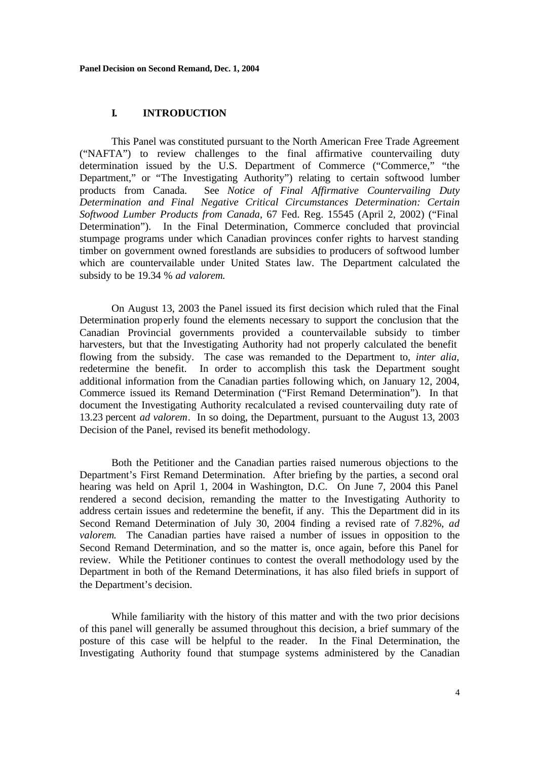### **I. INTRODUCTION**

This Panel was constituted pursuant to the North American Free Trade Agreement ("NAFTA") to review challenges to the final affirmative countervailing duty determination issued by the U.S. Department of Commerce ("Commerce," "the Department," or "The Investigating Authority") relating to certain softwood lumber products from Canada. See *Notice of Final Affirmative Countervailing Duty Determination and Final Negative Critical Circumstances Determination: Certain Softwood Lumber Products from Canada*, 67 Fed. Reg. 15545 (April 2, 2002) ("Final Determination"). In the Final Determination, Commerce concluded that provincial stumpage programs under which Canadian provinces confer rights to harvest standing timber on government owned forestlands are subsidies to producers of softwood lumber which are countervailable under United States law. The Department calculated the subsidy to be 19.34 % *ad valorem.*

On August 13, 2003 the Panel issued its first decision which ruled that the Final Determination properly found the elements necessary to support the conclusion that the Canadian Provincial governments provided a countervailable subsidy to timber harvesters, but that the Investigating Authority had not properly calculated the benefit flowing from the subsidy. The case was remanded to the Department to, *inter alia,* redetermine the benefit. In order to accomplish this task the Department sought additional information from the Canadian parties following which, on January 12, 2004, Commerce issued its Remand Determination ("First Remand Determination"). In that document the Investigating Authority recalculated a revised countervailing duty rate of 13.23 percent *ad valorem*. In so doing, the Department, pursuant to the August 13, 2003 Decision of the Panel, revised its benefit methodology.

Both the Petitioner and the Canadian parties raised numerous objections to the Department's First Remand Determination. After briefing by the parties, a second oral hearing was held on April 1, 2004 in Washington, D.C. On June 7, 2004 this Panel rendered a second decision, remanding the matter to the Investigating Authority to address certain issues and redetermine the benefit, if any. This the Department did in its Second Remand Determination of July 30, 2004 finding a revised rate of 7.82%, *ad valorem*. The Canadian parties have raised a number of issues in opposition to the Second Remand Determination, and so the matter is, once again, before this Panel for review. While the Petitioner continues to contest the overall methodology used by the Department in both of the Remand Determinations, it has also filed briefs in support of the Department's decision.

While familiarity with the history of this matter and with the two prior decisions of this panel will generally be assumed throughout this decision, a brief summary of the posture of this case will be helpful to the reader. In the Final Determination, the Investigating Authority found that stumpage systems administered by the Canadian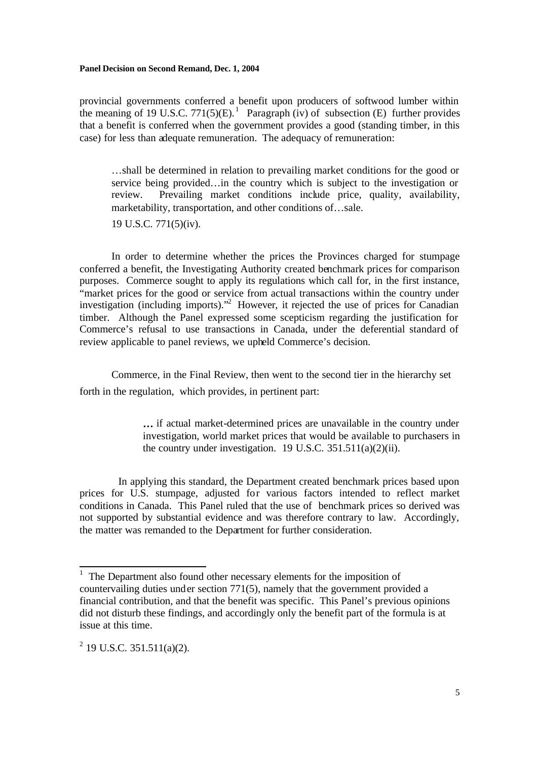provincial governments conferred a benefit upon producers of softwood lumber within the meaning of 19 U.S.C. 771(5)(E).<sup>1</sup> Paragraph (iv) of subsection (E) further provides that a benefit is conferred when the government provides a good (standing timber, in this case) for less than adequate remuneration. The adequacy of remuneration:

…shall be determined in relation to prevailing market conditions for the good or service being provided…in the country which is subject to the investigation or review. Prevailing market conditions include price, quality, availability, marketability, transportation, and other conditions of…sale.

19 U.S.C. 771(5)(iv).

In order to determine whether the prices the Provinces charged for stumpage conferred a benefit, the Investigating Authority created benchmark prices for comparison purposes. Commerce sought to apply its regulations which call for, in the first instance, "market prices for the good or service from actual transactions within the country under investigation (including imports).<sup>2</sup> However, it rejected the use of prices for Canadian timber. Although the Panel expressed some scepticism regarding the justification for Commerce's refusal to use transactions in Canada, under the deferential standard of review applicable to panel reviews, we upheld Commerce's decision.

Commerce, in the Final Review, then went to the second tier in the hierarchy set forth in the regulation, which provides, in pertinent part:

> **…** if actual market-determined prices are unavailable in the country under investigation, world market prices that would be available to purchasers in the country under investigation.19 U.S.C. 351.511(a)(2)(ii).

 In applying this standard, the Department created benchmark prices based upon prices for U.S. stumpage, adjusted for various factors intended to reflect market conditions in Canada. This Panel ruled that the use of benchmark prices so derived was not supported by substantial evidence and was therefore contrary to law. Accordingly, the matter was remanded to the Department for further consideration.

 $\overline{\phantom{a}}$ 

<sup>1</sup> The Department also found other necessary elements for the imposition of countervailing duties under section 771(5), namely that the government provided a financial contribution, and that the benefit was specific. This Panel's previous opinions did not disturb these findings, and accordingly only the benefit part of the formula is at issue at this time.

 $2^{2}$  19 U.S.C. 351.511(a)(2).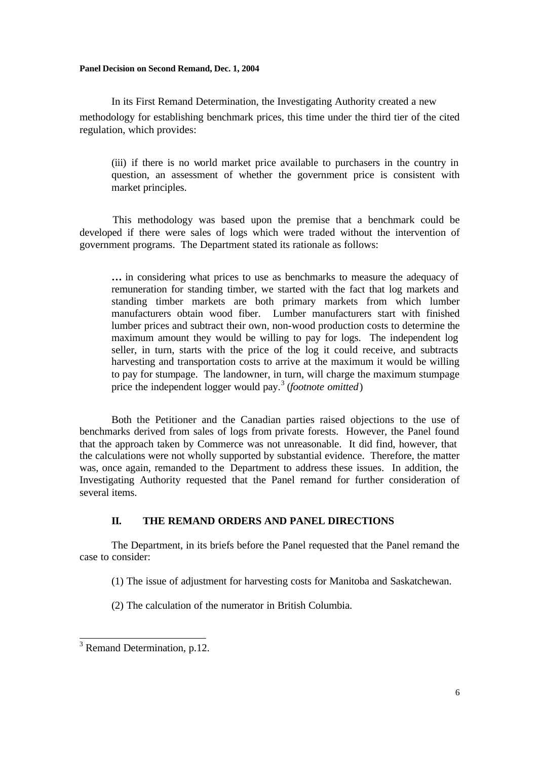In its First Remand Determination, the Investigating Authority created a new methodology for establishing benchmark prices, this time under the third tier of the cited regulation, which provides:

(iii) if there is no world market price available to purchasers in the country in question, an assessment of whether the government price is consistent with market principles.

 This methodology was based upon the premise that a benchmark could be developed if there were sales of logs which were traded without the intervention of government programs. The Department stated its rationale as follows:

**…** in considering what prices to use as benchmarks to measure the adequacy of remuneration for standing timber, we started with the fact that log markets and standing timber markets are both primary markets from which lumber manufacturers obtain wood fiber. Lumber manufacturers start with finished lumber prices and subtract their own, non-wood production costs to determine the maximum amount they would be willing to pay for logs. The independent log seller, in turn, starts with the price of the log it could receive, and subtracts harvesting and transportation costs to arrive at the maximum it would be willing to pay for stumpage. The landowner, in turn, will charge the maximum stumpage price the independent logger would pay.<sup>3</sup> (*footnote omitted*)

 Both the Petitioner and the Canadian parties raised objections to the use of benchmarks derived from sales of logs from private forests. However, the Panel found that the approach taken by Commerce was not unreasonable. It did find, however, that the calculations were not wholly supported by substantial evidence. Therefore, the matter was, once again, remanded to the Department to address these issues. In addition, the Investigating Authority requested that the Panel remand for further consideration of several items.

# **II. THE REMAND ORDERS AND PANEL DIRECTIONS**

The Department, in its briefs before the Panel requested that the Panel remand the case to consider:

(1) The issue of adjustment for harvesting costs for Manitoba and Saskatchewan.

(2) The calculation of the numerator in British Columbia.

<sup>&</sup>lt;sup>3</sup> Remand Determination, p.12.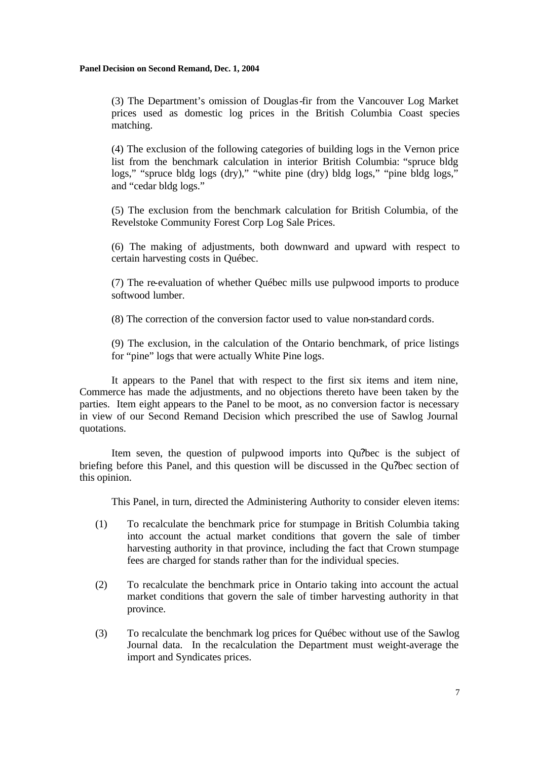(3) The Department's omission of Douglas-fir from the Vancouver Log Market prices used as domestic log prices in the British Columbia Coast species matching.

(4) The exclusion of the following categories of building logs in the Vernon price list from the benchmark calculation in interior British Columbia: "spruce bldg logs," "spruce bldg logs (dry)," "white pine (dry) bldg logs," "pine bldg logs," and "cedar bldg logs."

(5) The exclusion from the benchmark calculation for British Columbia, of the Revelstoke Community Forest Corp Log Sale Prices.

(6) The making of adjustments, both downward and upward with respect to certain harvesting costs in Québec.

(7) The re-evaluation of whether Québec mills use pulpwood imports to produce softwood lumber.

(8) The correction of the conversion factor used to value non-standard cords.

(9) The exclusion, in the calculation of the Ontario benchmark, of price listings for "pine" logs that were actually White Pine logs.

It appears to the Panel that with respect to the first six items and item nine, Commerce has made the adjustments, and no objections thereto have been taken by the parties. Item eight appears to the Panel to be moot, as no conversion factor is necessary in view of our Second Remand Decision which prescribed the use of Sawlog Journal quotations.

Item seven, the question of pulpwood imports into Qu?bec is the subject of briefing before this Panel, and this question will be discussed in the Qu?bec section of this opinion.

This Panel, in turn, directed the Administering Authority to consider eleven items:

- (1) To recalculate the benchmark price for stumpage in British Columbia taking into account the actual market conditions that govern the sale of timber harvesting authority in that province, including the fact that Crown stumpage fees are charged for stands rather than for the individual species.
- (2) To recalculate the benchmark price in Ontario taking into account the actual market conditions that govern the sale of timber harvesting authority in that province.
- (3) To recalculate the benchmark log prices for Québec without use of the Sawlog Journal data. In the recalculation the Department must weight-average the import and Syndicates prices.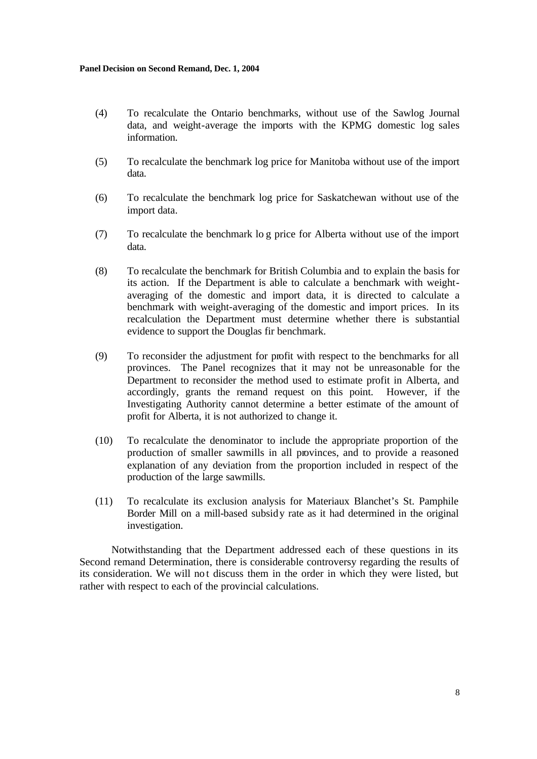- (4) To recalculate the Ontario benchmarks, without use of the Sawlog Journal data, and weight-average the imports with the KPMG domestic log sales information.
- (5) To recalculate the benchmark log price for Manitoba without use of the import data.
- (6) To recalculate the benchmark log price for Saskatchewan without use of the import data.
- (7) To recalculate the benchmark lo g price for Alberta without use of the import data.
- (8) To recalculate the benchmark for British Columbia and to explain the basis for its action. If the Department is able to calculate a benchmark with weightaveraging of the domestic and import data, it is directed to calculate a benchmark with weight-averaging of the domestic and import prices. In its recalculation the Department must determine whether there is substantial evidence to support the Douglas fir benchmark.
- (9) To reconsider the adjustment for profit with respect to the benchmarks for all provinces. The Panel recognizes that it may not be unreasonable for the Department to reconsider the method used to estimate profit in Alberta, and accordingly, grants the remand request on this point. However, if the Investigating Authority cannot determine a better estimate of the amount of profit for Alberta, it is not authorized to change it.
- (10) To recalculate the denominator to include the appropriate proportion of the production of smaller sawmills in all provinces, and to provide a reasoned explanation of any deviation from the proportion included in respect of the production of the large sawmills.
- (11) To recalculate its exclusion analysis for Materiaux Blanchet's St. Pamphile Border Mill on a mill-based subsidy rate as it had determined in the original investigation.

Notwithstanding that the Department addressed each of these questions in its Second remand Determination, there is considerable controversy regarding the results of its consideration. We will not discuss them in the order in which they were listed, but rather with respect to each of the provincial calculations.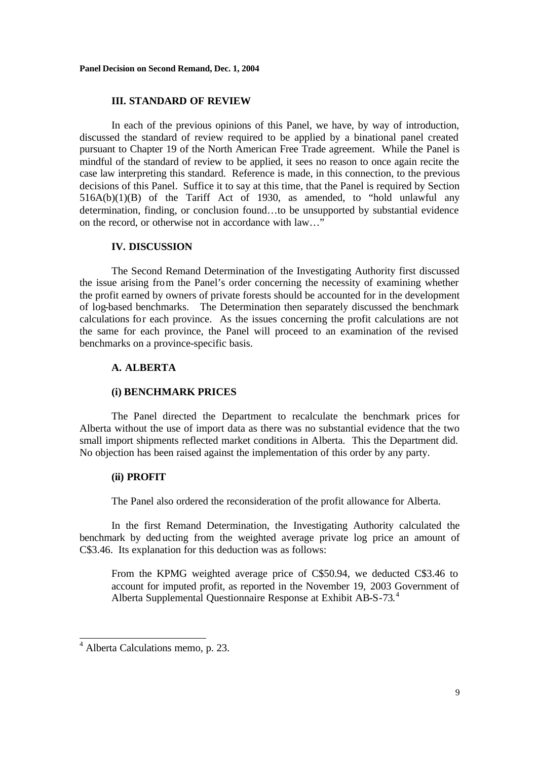### **III. STANDARD OF REVIEW**

In each of the previous opinions of this Panel, we have, by way of introduction, discussed the standard of review required to be applied by a binational panel created pursuant to Chapter 19 of the North American Free Trade agreement. While the Panel is mindful of the standard of review to be applied, it sees no reason to once again recite the case law interpreting this standard. Reference is made, in this connection, to the previous decisions of this Panel. Suffice it to say at this time, that the Panel is required by Section 516A(b)(1)(B) of the Tariff Act of 1930, as amended, to "hold unlawful any determination, finding, or conclusion found…to be unsupported by substantial evidence on the record, or otherwise not in accordance with law…"

### **IV. DISCUSSION**

The Second Remand Determination of the Investigating Authority first discussed the issue arising from the Panel's order concerning the necessity of examining whether the profit earned by owners of private forests should be accounted for in the development of log-based benchmarks. The Determination then separately discussed the benchmark calculations for each province. As the issues concerning the profit calculations are not the same for each province, the Panel will proceed to an examination of the revised benchmarks on a province-specific basis.

# **A. ALBERTA**

### **(i) BENCHMARK PRICES**

The Panel directed the Department to recalculate the benchmark prices for Alberta without the use of import data as there was no substantial evidence that the two small import shipments reflected market conditions in Alberta. This the Department did. No objection has been raised against the implementation of this order by any party.

### **(ii) PROFIT**

The Panel also ordered the reconsideration of the profit allowance for Alberta.

In the first Remand Determination, the Investigating Authority calculated the benchmark by ded ucting from the weighted average private log price an amount of C\$3.46. Its explanation for this deduction was as follows:

From the KPMG weighted average price of C\$50.94, we deducted C\$3.46 to account for imputed profit, as reported in the November 19, 2003 Government of Alberta Supplemental Questionnaire Response at Exhibit AB-S-73.<sup>4</sup>

 4 Alberta Calculations memo, p. 23.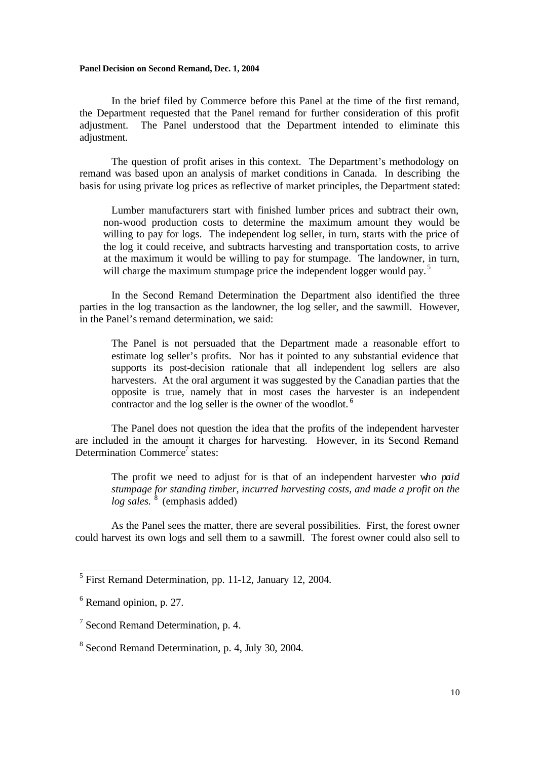In the brief filed by Commerce before this Panel at the time of the first remand, the Department requested that the Panel remand for further consideration of this profit adjustment. The Panel understood that the Department intended to eliminate this adjustment.

The question of profit arises in this context. The Department's methodology on remand was based upon an analysis of market conditions in Canada. In describing the basis for using private log prices as reflective of market principles, the Department stated:

Lumber manufacturers start with finished lumber prices and subtract their own, non-wood production costs to determine the maximum amount they would be willing to pay for logs. The independent log seller, in turn, starts with the price of the log it could receive, and subtracts harvesting and transportation costs, to arrive at the maximum it would be willing to pay for stumpage. The landowner, in turn, will charge the maximum stumpage price the independent logger would pay.<sup>5</sup>

In the Second Remand Determination the Department also identified the three parties in the log transaction as the landowner, the log seller, and the sawmill. However, in the Panel's remand determination, we said:

The Panel is not persuaded that the Department made a reasonable effort to estimate log seller's profits. Nor has it pointed to any substantial evidence that supports its post-decision rationale that all independent log sellers are also harvesters. At the oral argument it was suggested by the Canadian parties that the opposite is true, namely that in most cases the harvester is an independent contractor and the log seller is the owner of the woodlot. <sup>6</sup>

The Panel does not question the idea that the profits of the independent harvester are included in the amount it charges for harvesting. However, in its Second Remand Determination Commerce<sup>7</sup> states:

The profit we need to adjust for is that of an independent harvester w*ho paid stumpage for standing timber, incurred harvesting costs, and made a profit on the log sales.*<sup>8</sup> (emphasis added)

As the Panel sees the matter, there are several possibilities. First, the forest owner could harvest its own logs and sell them to a sawmill. The forest owner could also sell to

<sup>&</sup>lt;sup>5</sup> First Remand Determination, pp. 11-12, January 12, 2004.

<sup>&</sup>lt;sup>6</sup> Remand opinion, p. 27.

 $7$  Second Remand Determination, p. 4.

<sup>&</sup>lt;sup>8</sup> Second Remand Determination, p. 4, July 30, 2004.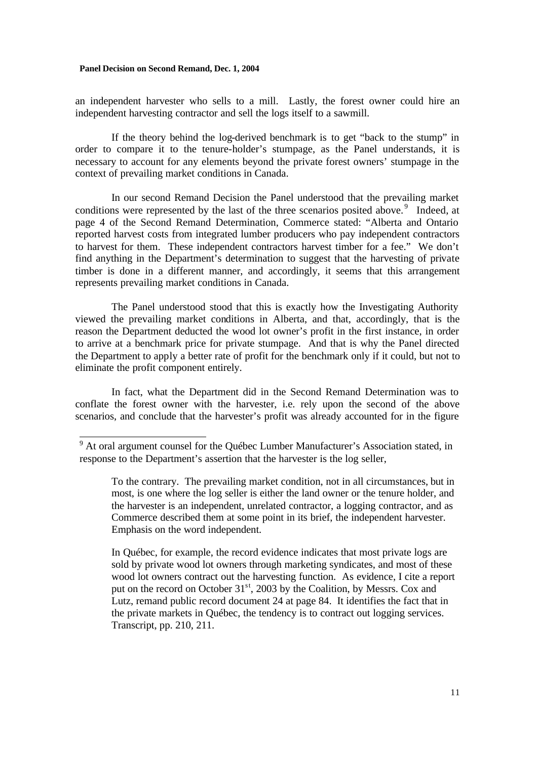an independent harvester who sells to a mill. Lastly, the forest owner could hire an independent harvesting contractor and sell the logs itself to a sawmill.

If the theory behind the log-derived benchmark is to get "back to the stump" in order to compare it to the tenure-holder's stumpage, as the Panel understands, it is necessary to account for any elements beyond the private forest owners' stumpage in the context of prevailing market conditions in Canada.

In our second Remand Decision the Panel understood that the prevailing market conditions were represented by the last of the three scenarios posited above.<sup>9</sup> Indeed, at page 4 of the Second Remand Determination, Commerce stated: "Alberta and Ontario reported harvest costs from integrated lumber producers who pay independent contractors to harvest for them. These independent contractors harvest timber for a fee." We don't find anything in the Department's determination to suggest that the harvesting of private timber is done in a different manner, and accordingly, it seems that this arrangement represents prevailing market conditions in Canada.

The Panel understood stood that this is exactly how the Investigating Authority viewed the prevailing market conditions in Alberta, and that, accordingly, that is the reason the Department deducted the wood lot owner's profit in the first instance, in order to arrive at a benchmark price for private stumpage. And that is why the Panel directed the Department to apply a better rate of profit for the benchmark only if it could, but not to eliminate the profit component entirely.

In fact, what the Department did in the Second Remand Determination was to conflate the forest owner with the harvester, i.e. rely upon the second of the above scenarios, and conclude that the harvester's profit was already accounted for in the figure

In Québec, for example, the record evidence indicates that most private logs are sold by private wood lot owners through marketing syndicates, and most of these wood lot owners contract out the harvesting function. As evidence, I cite a report put on the record on October  $31<sup>st</sup>$ , 2003 by the Coalition, by Messrs. Cox and Lutz, remand public record document 24 at page 84. It identifies the fact that in the private markets in Québec, the tendency is to contract out logging services. Transcript, pp. 210, 211.

<sup>&</sup>lt;sup>9</sup> At oral argument counsel for the Québec Lumber Manufacturer's Association stated, in response to the Department's assertion that the harvester is the log seller,

To the contrary. The prevailing market condition, not in all circumstances, but in most, is one where the log seller is either the land owner or the tenure holder, and the harvester is an independent, unrelated contractor, a logging contractor, and as Commerce described them at some point in its brief, the independent harvester. Emphasis on the word independent.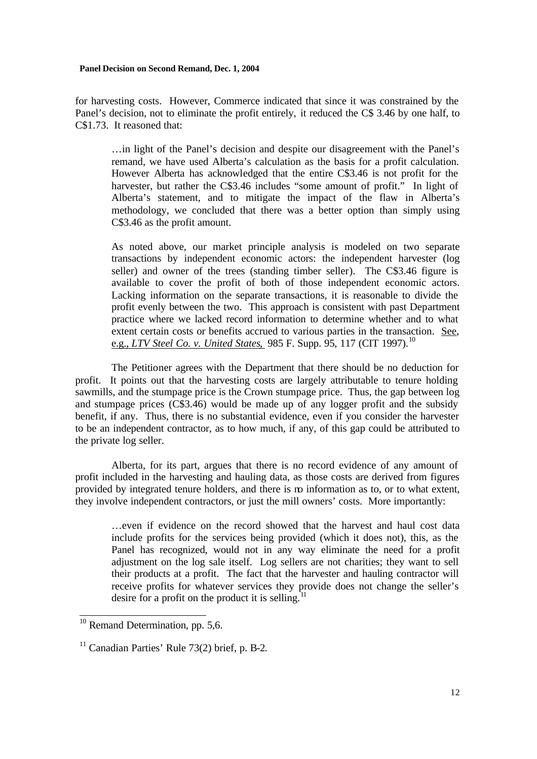for harvesting costs. However, Commerce indicated that since it was constrained by the Panel's decision, not to eliminate the profit entirely, it reduced the C\$ 3.46 by one half, to C\$1.73. It reasoned that:

…in light of the Panel's decision and despite our disagreement with the Panel's remand, we have used Alberta's calculation as the basis for a profit calculation. However Alberta has acknowledged that the entire C\$3.46 is not profit for the harvester, but rather the C\$3.46 includes "some amount of profit." In light of Alberta's statement, and to mitigate the impact of the flaw in Alberta's methodology, we concluded that there was a better option than simply using C\$3.46 as the profit amount.

As noted above, our market principle analysis is modeled on two separate transactions by independent economic actors: the independent harvester (log seller) and owner of the trees (standing timber seller). The C\$3.46 figure is available to cover the profit of both of those independent economic actors. Lacking information on the separate transactions, it is reasonable to divide the profit evenly between the two. This approach is consistent with past Department practice where we lacked record information to determine whether and to what extent certain costs or benefits accrued to various parties in the transaction. See, e.g., *LTV Steel Co. v. United States*, 985 F. Supp. 95, 117 (CIT 1997).<sup>10</sup>

The Petitioner agrees with the Department that there should be no deduction for profit. It points out that the harvesting costs are largely attributable to tenure holding sawmills, and the stumpage price is the Crown stumpage price. Thus, the gap between log and stumpage prices (C\$3.46) would be made up of any logger profit and the subsidy benefit, if any. Thus, there is no substantial evidence, even if you consider the harvester to be an independent contractor, as to how much, if any, of this gap could be attributed to the private log seller.

Alberta, for its part, argues that there is no record evidence of any amount of profit included in the harvesting and hauling data, as those costs are derived from figures provided by integrated tenure holders, and there is no information as to, or to what extent, they involve independent contractors, or just the mill owners' costs. More importantly:

…even if evidence on the record showed that the harvest and haul cost data include profits for the services being provided (which it does not), this, as the Panel has recognized, would not in any way eliminate the need for a profit adjustment on the log sale itself. Log sellers are not charities; they want to sell their products at a profit. The fact that the harvester and hauling contractor will receive profits for whatever services they provide does not change the seller's desire for a profit on the product it is selling.<sup>1</sup>

 $\overline{\phantom{a}}$ 

 $10$  Remand Determination, pp. 5,6.

 $11$  Canadian Parties' Rule 73(2) brief, p. B-2.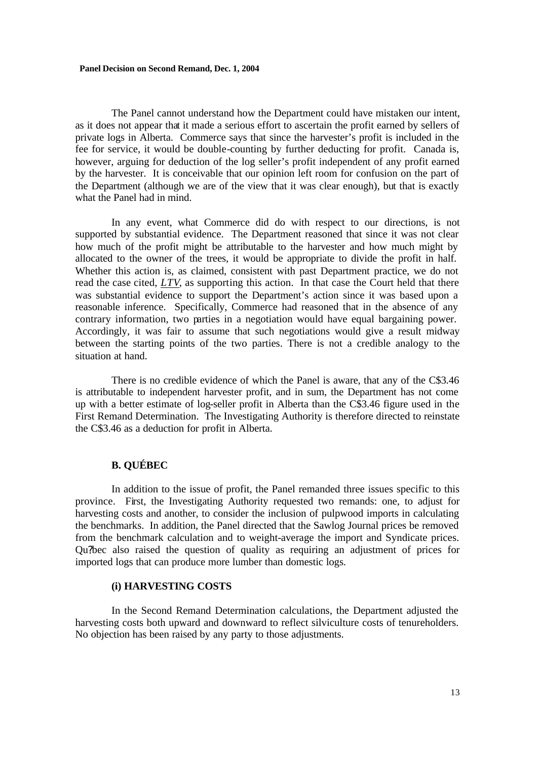The Panel cannot understand how the Department could have mistaken our intent, as it does not appear that it made a serious effort to ascertain the profit earned by sellers of private logs in Alberta. Commerce says that since the harvester's profit is included in the fee for service, it would be double-counting by further deducting for profit. Canada is, however, arguing for deduction of the log seller's profit independent of any profit earned by the harvester. It is conceivable that our opinion left room for confusion on the part of the Department (although we are of the view that it was clear enough), but that is exactly what the Panel had in mind.

In any event, what Commerce did do with respect to our directions, is not supported by substantial evidence. The Department reasoned that since it was not clear how much of the profit might be attributable to the harvester and how much might by allocated to the owner of the trees, it would be appropriate to divide the profit in half. Whether this action is, as claimed, consistent with past Department practice, we do not read the case cited, *LTV*, as supporting this action. In that case the Court held that there was substantial evidence to support the Department's action since it was based upon a reasonable inference. Specifically, Commerce had reasoned that in the absence of any contrary information, two parties in a negotiation would have equal bargaining power. Accordingly, it was fair to assume that such negotiations would give a result midway between the starting points of the two parties. There is not a credible analogy to the situation at hand.

There is no credible evidence of which the Panel is aware, that any of the C\$3.46 is attributable to independent harvester profit, and in sum, the Department has not come up with a better estimate of log-seller profit in Alberta than the C\$3.46 figure used in the First Remand Determination. The Investigating Authority is therefore directed to reinstate the C\$3.46 as a deduction for profit in Alberta.

# **B. QUÉBEC**

In addition to the issue of profit, the Panel remanded three issues specific to this province. First, the Investigating Authority requested two remands: one, to adjust for harvesting costs and another, to consider the inclusion of pulpwood imports in calculating the benchmarks. In addition, the Panel directed that the Sawlog Journal prices be removed from the benchmark calculation and to weight-average the import and Syndicate prices. Qu?bec also raised the question of quality as requiring an adjustment of prices for imported logs that can produce more lumber than domestic logs.

# **(i) HARVESTING COSTS**

In the Second Remand Determination calculations, the Department adjusted the harvesting costs both upward and downward to reflect silviculture costs of tenureholders. No objection has been raised by any party to those adjustments.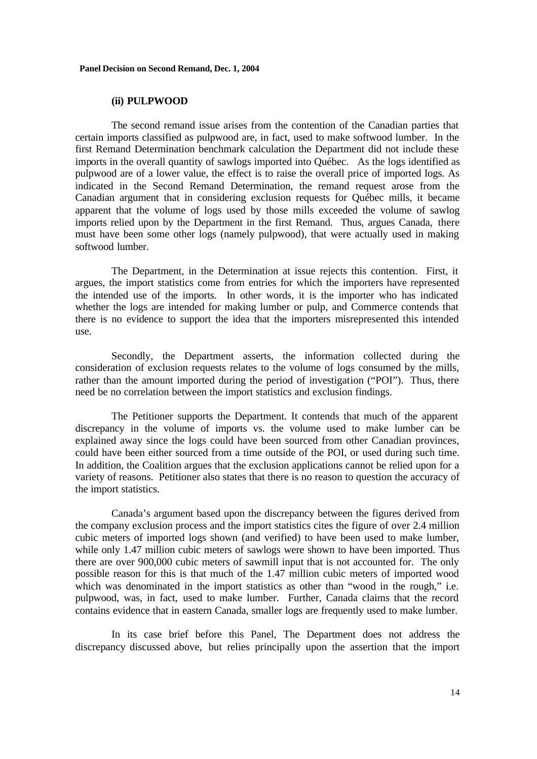### **(ii) PULPWOOD**

The second remand issue arises from the contention of the Canadian parties that certain imports classified as pulpwood are, in fact, used to make softwood lumber. In the first Remand Determination benchmark calculation the Department did not include these imports in the overall quantity of sawlogs imported into Québec. As the logs identified as pulpwood are of a lower value, the effect is to raise the overall price of imported logs. As indicated in the Second Remand Determination, the remand request arose from the Canadian argument that in considering exclusion requests for Québec mills, it became apparent that the volume of logs used by those mills exceeded the volume of sawlog imports relied upon by the Department in the first Remand. Thus, argues Canada, there must have been some other logs (namely pulpwood), that were actually used in making softwood lumber.

The Department, in the Determination at issue rejects this contention. First, it argues, the import statistics come from entries for which the importers have represented the intended use of the imports. In other words, it is the importer who has indicated whether the logs are intended for making lumber or pulp, and Commerce contends that there is no evidence to support the idea that the importers misrepresented this intended use.

Secondly, the Department asserts, the information collected during the consideration of exclusion requests relates to the volume of logs consumed by the mills, rather than the amount imported during the period of investigation ("POI"). Thus, there need be no correlation between the import statistics and exclusion findings.

The Petitioner supports the Department. It contends that much of the apparent discrepancy in the volume of imports vs. the volume used to make lumber can be explained away since the logs could have been sourced from other Canadian provinces, could have been either sourced from a time outside of the POI, or used during such time. In addition, the Coalition argues that the exclusion applications cannot be relied upon for a variety of reasons. Petitioner also states that there is no reason to question the accuracy of the import statistics.

Canada's argument based upon the discrepancy between the figures derived from the company exclusion process and the import statistics cites the figure of over 2.4 million cubic meters of imported logs shown (and verified) to have been used to make lumber, while only 1.47 million cubic meters of sawlogs were shown to have been imported. Thus there are over 900,000 cubic meters of sawmill input that is not accounted for. The only possible reason for this is that much of the 1.47 million cubic meters of imported wood which was denominated in the import statistics as other than "wood in the rough," i.e. pulpwood, was, in fact, used to make lumber. Further, Canada claims that the record contains evidence that in eastern Canada, smaller logs are frequently used to make lumber.

In its case brief before this Panel, The Department does not address the discrepancy discussed above, but relies principally upon the assertion that the import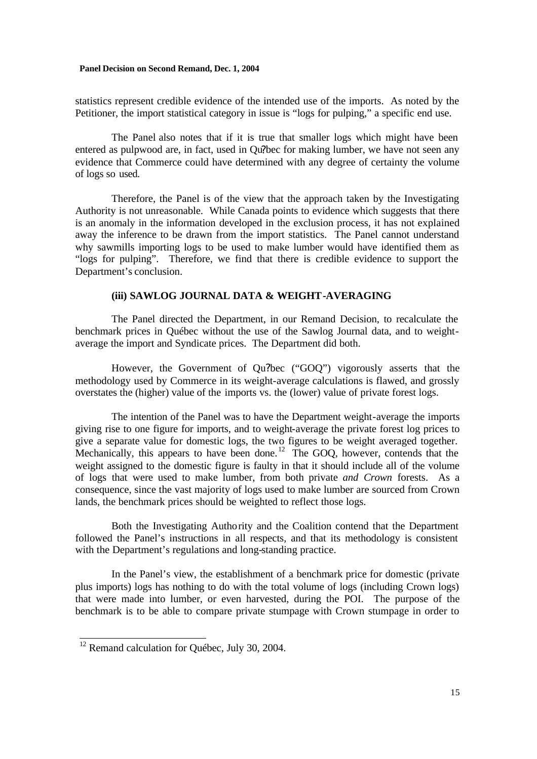statistics represent credible evidence of the intended use of the imports. As noted by the Petitioner, the import statistical category in issue is "logs for pulping," a specific end use.

The Panel also notes that if it is true that smaller logs which might have been entered as pulpwood are, in fact, used in Qu?bec for making lumber, we have not seen any evidence that Commerce could have determined with any degree of certainty the volume of logs so used.

Therefore, the Panel is of the view that the approach taken by the Investigating Authority is not unreasonable. While Canada points to evidence which suggests that there is an anomaly in the information developed in the exclusion process, it has not explained away the inference to be drawn from the import statistics. The Panel cannot understand why sawmills importing logs to be used to make lumber would have identified them as "logs for pulping". Therefore, we find that there is credible evidence to support the Department's conclusion.

### **(iii) SAWLOG JOURNAL DATA & WEIGHT-AVERAGING**

The Panel directed the Department, in our Remand Decision, to recalculate the benchmark prices in Québec without the use of the Sawlog Journal data, and to weightaverage the import and Syndicate prices. The Department did both.

However, the Government of Qu?bec ("GOQ") vigorously asserts that the methodology used by Commerce in its weight-average calculations is flawed, and grossly overstates the (higher) value of the imports vs. the (lower) value of private forest logs.

The intention of the Panel was to have the Department weight-average the imports giving rise to one figure for imports, and to weight-average the private forest log prices to give a separate value for domestic logs, the two figures to be weight averaged together. Mechanically, this appears to have been done.<sup>12</sup> The GOQ, however, contends that the weight assigned to the domestic figure is faulty in that it should include all of the volume of logs that were used to make lumber, from both private *and Crown* forests. As a consequence, since the vast majority of logs used to make lumber are sourced from Crown lands, the benchmark prices should be weighted to reflect those logs.

Both the Investigating Authority and the Coalition contend that the Department followed the Panel's instructions in all respects, and that its methodology is consistent with the Department's regulations and long-standing practice.

In the Panel's view, the establishment of a benchmark price for domestic (private plus imports) logs has nothing to do with the total volume of logs (including Crown logs) that were made into lumber, or even harvested, during the POI. The purpose of the benchmark is to be able to compare private stumpage with Crown stumpage in order to

 $\overline{a}$ 

 $12$  Remand calculation for Québec, July 30, 2004.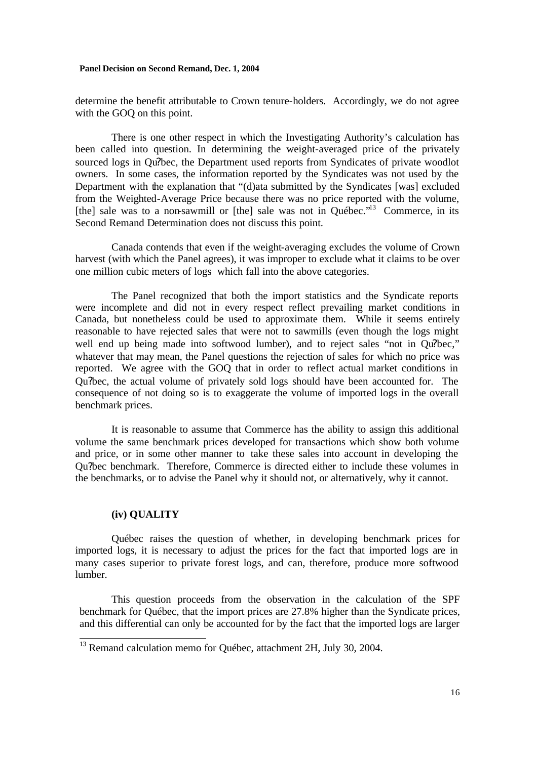determine the benefit attributable to Crown tenure-holders. Accordingly, we do not agree with the GOQ on this point.

There is one other respect in which the Investigating Authority's calculation has been called into question. In determining the weight-averaged price of the privately sourced logs in Qu?bec, the Department used reports from Syndicates of private woodlot owners. In some cases, the information reported by the Syndicates was not used by the Department with the explanation that "(d)ata submitted by the Syndicates [was] excluded from the Weighted-Average Price because there was no price reported with the volume, [the] sale was to a non-sawmill or [the] sale was not in Québec."<sup>13</sup> Commerce, in its Second Remand Determination does not discuss this point.

Canada contends that even if the weight-averaging excludes the volume of Crown harvest (with which the Panel agrees), it was improper to exclude what it claims to be over one million cubic meters of logs which fall into the above categories.

The Panel recognized that both the import statistics and the Syndicate reports were incomplete and did not in every respect reflect prevailing market conditions in Canada, but nonetheless could be used to approximate them. While it seems entirely reasonable to have rejected sales that were not to sawmills (even though the logs might well end up being made into softwood lumber), and to reject sales "not in Qu?bec," whatever that may mean, the Panel questions the rejection of sales for which no price was reported. We agree with the GOQ that in order to reflect actual market conditions in Qu?bec, the actual volume of privately sold logs should have been accounted for. The consequence of not doing so is to exaggerate the volume of imported logs in the overall benchmark prices.

It is reasonable to assume that Commerce has the ability to assign this additional volume the same benchmark prices developed for transactions which show both volume and price, or in some other manner to take these sales into account in developing the Qu?bec benchmark. Therefore, Commerce is directed either to include these volumes in the benchmarks, or to advise the Panel why it should not, or alternatively, why it cannot.

# **(iv) QUALITY**

 $\overline{a}$ 

Québec raises the question of whether, in developing benchmark prices for imported logs, it is necessary to adjust the prices for the fact that imported logs are in many cases superior to private forest logs, and can, therefore, produce more softwood lumber.

This question proceeds from the observation in the calculation of the SPF benchmark for Québec, that the import prices are 27.8% higher than the Syndicate prices, and this differential can only be accounted for by the fact that the imported logs are larger

 $13$  Remand calculation memo for Québec, attachment 2H, July 30, 2004.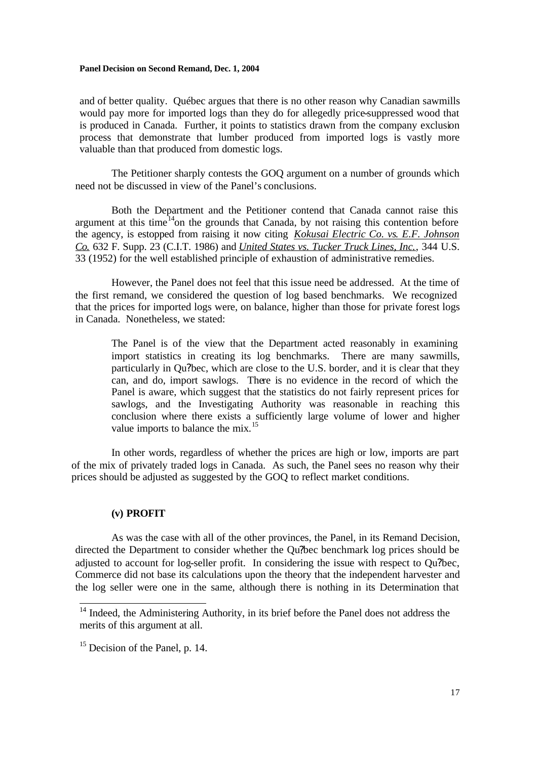and of better quality. Québec argues that there is no other reason why Canadian sawmills would pay more for imported logs than they do for allegedly price-suppressed wood that is produced in Canada. Further, it points to statistics drawn from the company exclusion process that demonstrate that lumber produced from imported logs is vastly more valuable than that produced from domestic logs.

The Petitioner sharply contests the GOQ argument on a number of grounds which need not be discussed in view of the Panel's conclusions.

Both the Department and the Petitioner contend that Canada cannot raise this argument at this time<sup>14</sup>on the grounds that Canada, by not raising this contention before the agency, is estopped from raising it now citing *Kokusai Electric Co. vs. E.F. Johnson Co.* 632 F. Supp. 23 (C.I.T. 1986) and *United States vs. Tucker Truck Lines, Inc.*, 344 U.S. 33 (1952) for the well established principle of exhaustion of administrative remedies.

However, the Panel does not feel that this issue need be addressed. At the time of the first remand, we considered the question of log based benchmarks. We recognized that the prices for imported logs were, on balance, higher than those for private forest logs in Canada. Nonetheless, we stated:

The Panel is of the view that the Department acted reasonably in examining import statistics in creating its log benchmarks. There are many sawmills, particularly in Qu?bec, which are close to the U.S. border, and it is clear that they can, and do, import sawlogs. There is no evidence in the record of which the Panel is aware, which suggest that the statistics do not fairly represent prices for sawlogs, and the Investigating Authority was reasonable in reaching this conclusion where there exists a sufficiently large volume of lower and higher value imports to balance the mix.<sup>15</sup>

In other words, regardless of whether the prices are high or low, imports are part of the mix of privately traded logs in Canada. As such, the Panel sees no reason why their prices should be adjusted as suggested by the GOQ to reflect market conditions.

### **(v) PROFIT**

As was the case with all of the other provinces, the Panel, in its Remand Decision, directed the Department to consider whether the Qu?bec benchmark log prices should be adjusted to account for log-seller profit. In considering the issue with respect to Qu?bec, Commerce did not base its calculations upon the theory that the independent harvester and the log seller were one in the same, although there is nothing in its Determination that

 $\overline{\phantom{a}}$ 

<sup>&</sup>lt;sup>14</sup> Indeed, the Administering Authority, in its brief before the Panel does not address the merits of this argument at all.

<sup>&</sup>lt;sup>15</sup> Decision of the Panel, p. 14.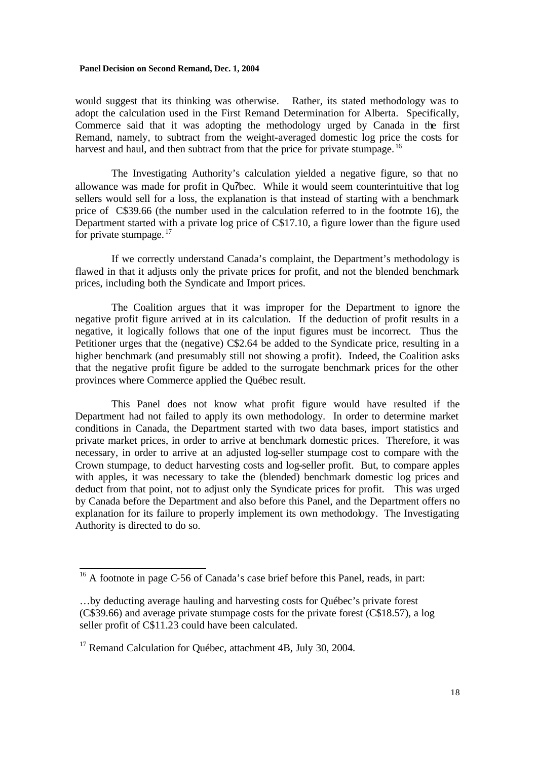would suggest that its thinking was otherwise. Rather, its stated methodology was to adopt the calculation used in the First Remand Determination for Alberta. Specifically, Commerce said that it was adopting the methodology urged by Canada in the first Remand, namely, to subtract from the weight-averaged domestic log price the costs for harvest and haul, and then subtract from that the price for private stumpage.<sup>16</sup>

The Investigating Authority's calculation yielded a negative figure, so that no allowance was made for profit in Ou?bec. While it would seem counterintuitive that log sellers would sell for a loss, the explanation is that instead of starting with a benchmark price of C\$39.66 (the number used in the calculation referred to in the footnote 16), the Department started with a private log price of C\$17.10, a figure lower than the figure used for private stumpage.  $17$ 

If we correctly understand Canada's complaint, the Department's methodology is flawed in that it adjusts only the private prices for profit, and not the blended benchmark prices, including both the Syndicate and Import prices.

The Coalition argues that it was improper for the Department to ignore the negative profit figure arrived at in its calculation. If the deduction of profit results in a negative, it logically follows that one of the input figures must be incorrect. Thus the Petitioner urges that the (negative) C\$2.64 be added to the Syndicate price, resulting in a higher benchmark (and presumably still not showing a profit). Indeed, the Coalition asks that the negative profit figure be added to the surrogate benchmark prices for the other provinces where Commerce applied the Québec result.

This Panel does not know what profit figure would have resulted if the Department had not failed to apply its own methodology. In order to determine market conditions in Canada, the Department started with two data bases, import statistics and private market prices, in order to arrive at benchmark domestic prices. Therefore, it was necessary, in order to arrive at an adjusted log-seller stumpage cost to compare with the Crown stumpage, to deduct harvesting costs and log-seller profit. But, to compare apples with apples, it was necessary to take the (blended) benchmark domestic log prices and deduct from that point, not to adjust only the Syndicate prices for profit. This was urged by Canada before the Department and also before this Panel, and the Department offers no explanation for its failure to properly implement its own methodology. The Investigating Authority is directed to do so.

 $\frac{16}{16}$  A footnote in page C-56 of Canada's case brief before this Panel, reads, in part:

<sup>…</sup>by deducting average hauling and harvesting costs for Québec's private forest (C\$39.66) and average private stumpage costs for the private forest (C\$18.57), a log seller profit of C\$11.23 could have been calculated.

<sup>&</sup>lt;sup>17</sup> Remand Calculation for Ouébec, attachment 4B, July 30, 2004.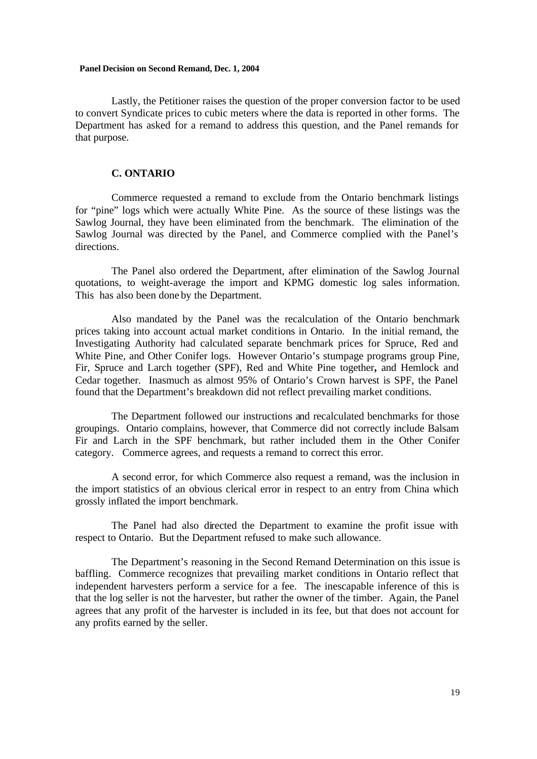Lastly, the Petitioner raises the question of the proper conversion factor to be used to convert Syndicate prices to cubic meters where the data is reported in other forms. The Department has asked for a remand to address this question, and the Panel remands for that purpose.

# **C. ONTARIO**

Commerce requested a remand to exclude from the Ontario benchmark listings for "pine" logs which were actually White Pine. As the source of these listings was the Sawlog Journal, they have been eliminated from the benchmark. The elimination of the Sawlog Journal was directed by the Panel, and Commerce complied with the Panel's directions.

The Panel also ordered the Department, after elimination of the Sawlog Journal quotations, to weight-average the import and KPMG domestic log sales information. This has also been done by the Department.

Also mandated by the Panel was the recalculation of the Ontario benchmark prices taking into account actual market conditions in Ontario. In the initial remand, the Investigating Authority had calculated separate benchmark prices for Spruce, Red and White Pine, and Other Conifer logs. However Ontario's stumpage programs group Pine, Fir, Spruce and Larch together (SPF), Red and White Pine together**,** and Hemlock and Cedar together. Inasmuch as almost 95% of Ontario's Crown harvest is SPF, the Panel found that the Department's breakdown did not reflect prevailing market conditions.

The Department followed our instructions and recalculated benchmarks for those groupings. Ontario complains, however, that Commerce did not correctly include Balsam Fir and Larch in the SPF benchmark, but rather included them in the Other Conifer category. Commerce agrees, and requests a remand to correct this error.

A second error, for which Commerce also request a remand, was the inclusion in the import statistics of an obvious clerical error in respect to an entry from China which grossly inflated the import benchmark.

The Panel had also directed the Department to examine the profit issue with respect to Ontario. But the Department refused to make such allowance.

The Department's reasoning in the Second Remand Determination on this issue is baffling. Commerce recognizes that prevailing market conditions in Ontario reflect that independent harvesters perform a service for a fee. The inescapable inference of this is that the log seller is not the harvester, but rather the owner of the timber. Again, the Panel agrees that any profit of the harvester is included in its fee, but that does not account for any profits earned by the seller.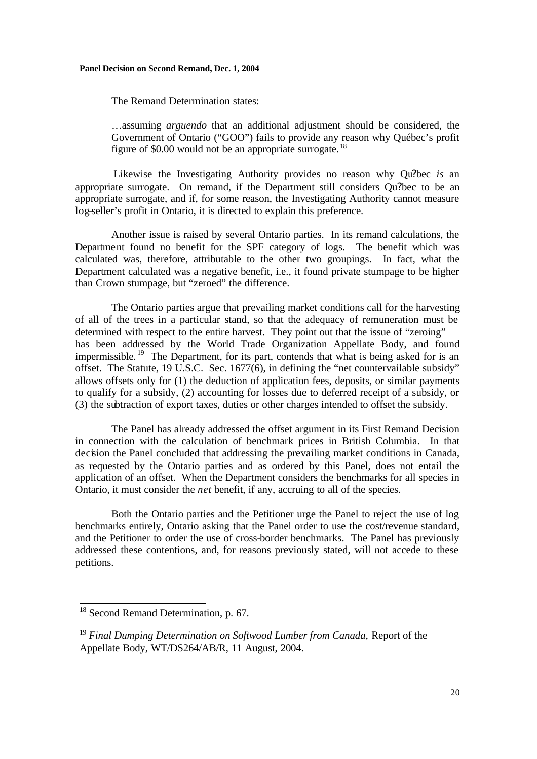The Remand Determination states:

…assuming *arguendo* that an additional adjustment should be considered, the Government of Ontario ("GOO") fails to provide any reason why Québec's profit figure of \$0.00 would not be an appropriate surrogate. <sup>18</sup>

 Likewise the Investigating Authority provides no reason why Qu?bec *is* an appropriate surrogate. On remand, if the Department still considers Qu?bec to be an appropriate surrogate, and if, for some reason, the Investigating Authority cannot measure log-seller's profit in Ontario, it is directed to explain this preference.

Another issue is raised by several Ontario parties. In its remand calculations, the Department found no benefit for the SPF category of logs. The benefit which was calculated was, therefore, attributable to the other two groupings. In fact, what the Department calculated was a negative benefit, i.e., it found private stumpage to be higher than Crown stumpage, but "zeroed" the difference.

The Ontario parties argue that prevailing market conditions call for the harvesting of all of the trees in a particular stand, so that the adequacy of remuneration must be determined with respect to the entire harvest. They point out that the issue of "zeroing" has been addressed by the World Trade Organization Appellate Body, and found impermissible. <sup>19</sup> The Department, for its part, contends that what is being asked for is an offset. The Statute, 19 U.S.C. Sec. 1677(6), in defining the "net countervailable subsidy" allows offsets only for (1) the deduction of application fees, deposits, or similar payments to qualify for a subsidy, (2) accounting for losses due to deferred receipt of a subsidy, or (3) the subtraction of export taxes, duties or other charges intended to offset the subsidy.

The Panel has already addressed the offset argument in its First Remand Decision in connection with the calculation of benchmark prices in British Columbia. In that decision the Panel concluded that addressing the prevailing market conditions in Canada, as requested by the Ontario parties and as ordered by this Panel, does not entail the application of an offset. When the Department considers the benchmarks for all species in Ontario, it must consider the *net* benefit, if any, accruing to all of the species.

Both the Ontario parties and the Petitioner urge the Panel to reject the use of log benchmarks entirely, Ontario asking that the Panel order to use the cost/revenue standard, and the Petitioner to order the use of cross-border benchmarks. The Panel has previously addressed these contentions, and, for reasons previously stated, will not accede to these petitions.

 $\overline{\phantom{a}}$ 

<sup>&</sup>lt;sup>18</sup> Second Remand Determination, p. 67.

<sup>19</sup> *Final Dumping Determination on Softwood Lumber from Canada,* Report of the Appellate Body, WT/DS264/AB/R, 11 August, 2004.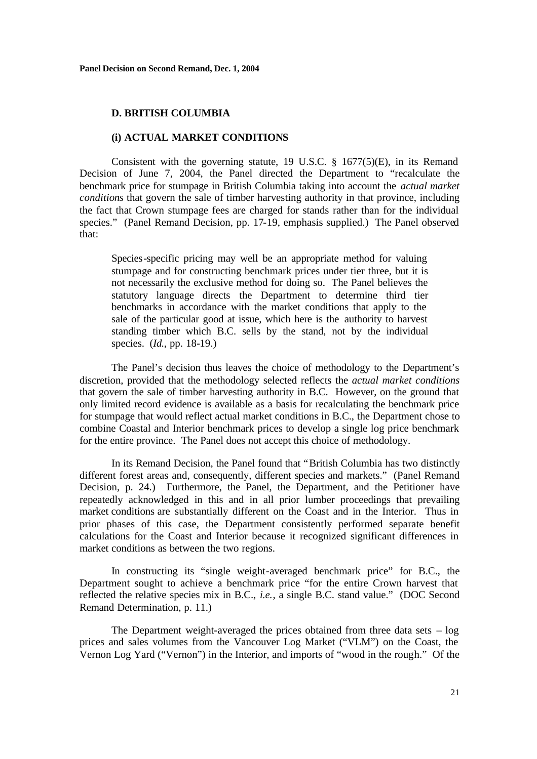### **D. BRITISH COLUMBIA**

### **(i) ACTUAL MARKET CONDITIONS**

Consistent with the governing statute, 19 U.S.C. § 1677(5)(E), in its Remand Decision of June 7, 2004, the Panel directed the Department to "recalculate the benchmark price for stumpage in British Columbia taking into account the *actual market conditions* that govern the sale of timber harvesting authority in that province, including the fact that Crown stumpage fees are charged for stands rather than for the individual species." (Panel Remand Decision, pp. 17-19, emphasis supplied.) The Panel observed that:

Species-specific pricing may well be an appropriate method for valuing stumpage and for constructing benchmark prices under tier three, but it is not necessarily the exclusive method for doing so. The Panel believes the statutory language directs the Department to determine third tier benchmarks in accordance with the market conditions that apply to the sale of the particular good at issue, which here is the authority to harvest standing timber which B.C. sells by the stand, not by the individual species. (*Id.*, pp. 18-19.)

The Panel's decision thus leaves the choice of methodology to the Department's discretion, provided that the methodology selected reflects the *actual market conditions* that govern the sale of timber harvesting authority in B.C. However, on the ground that only limited record evidence is available as a basis for recalculating the benchmark price for stumpage that would reflect actual market conditions in B.C., the Department chose to combine Coastal and Interior benchmark prices to develop a single log price benchmark for the entire province. The Panel does not accept this choice of methodology.

In its Remand Decision, the Panel found that "British Columbia has two distinctly different forest areas and, consequently, different species and markets." (Panel Remand Decision, p. 24.) Furthermore, the Panel, the Department, and the Petitioner have repeatedly acknowledged in this and in all prior lumber proceedings that prevailing market conditions are substantially different on the Coast and in the Interior. Thus in prior phases of this case, the Department consistently performed separate benefit calculations for the Coast and Interior because it recognized significant differences in market conditions as between the two regions.

In constructing its "single weight-averaged benchmark price" for B.C., the Department sought to achieve a benchmark price "for the entire Crown harvest that reflected the relative species mix in B.C., *i.e.*, a single B.C. stand value." (DOC Second Remand Determination, p. 11.)

The Department weight-averaged the prices obtained from three data sets – log prices and sales volumes from the Vancouver Log Market ("VLM") on the Coast, the Vernon Log Yard ("Vernon") in the Interior, and imports of "wood in the rough." Of the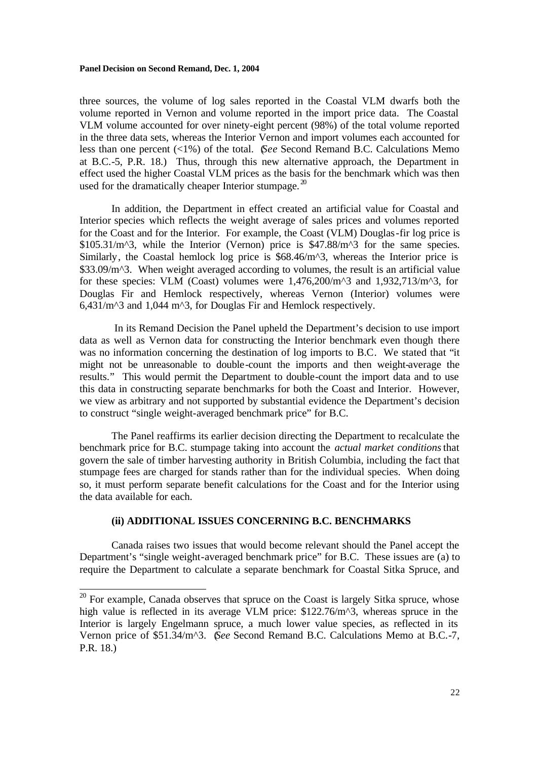three sources, the volume of log sales reported in the Coastal VLM dwarfs both the volume reported in Vernon and volume reported in the import price data. The Coastal VLM volume accounted for over ninety-eight percent (98%) of the total volume reported in the three data sets, whereas the Interior Vernon and import volumes each accounted for less than one percent (<1%) of the total. (*See* Second Remand B.C. Calculations Memo at B.C.-5, P.R. 18.) Thus, through this new alternative approach, the Department in effect used the higher Coastal VLM prices as the basis for the benchmark which was then used for the dramatically cheaper Interior stumpage. $20$ 

In addition, the Department in effect created an artificial value for Coastal and Interior species which reflects the weight average of sales prices and volumes reported for the Coast and for the Interior. For example, the Coast (VLM) Douglas-fir log price is \$105.31/m<sup> $\text{A}$ </sup>3, while the Interior (Vernon) price is \$47.88/m<sup> $\text{A}$ </sup>3 for the same species. Similarly, the Coastal hemlock log price is \$68.46/m<sup> $\lambda$ </sup>3, whereas the Interior price is \$33.09/m^3. When weight averaged according to volumes, the result is an artificial value for these species: VLM (Coast) volumes were  $1.476,200/m^2$  and  $1.932,713/m^3$ , for Douglas Fir and Hemlock respectively, whereas Vernon (Interior) volumes were  $6,431/m^3$  and 1,044 m<sup> $3$ </sup>, for Douglas Fir and Hemlock respectively.

 In its Remand Decision the Panel upheld the Department's decision to use import data as well as Vernon data for constructing the Interior benchmark even though there was no information concerning the destination of log imports to B.C. We stated that "it might not be unreasonable to double-count the imports and then weight-average the results." This would permit the Department to double-count the import data and to use this data in constructing separate benchmarks for both the Coast and Interior. However, we view as arbitrary and not supported by substantial evidence the Department's decision to construct "single weight-averaged benchmark price" for B.C.

The Panel reaffirms its earlier decision directing the Department to recalculate the benchmark price for B.C. stumpage taking into account the *actual market conditions* that govern the sale of timber harvesting authority in British Columbia, including the fact that stumpage fees are charged for stands rather than for the individual species. When doing so, it must perform separate benefit calculations for the Coast and for the Interior using the data available for each.

# **(ii) ADDITIONAL ISSUES CONCERNING B.C. BENCHMARKS**

Canada raises two issues that would become relevant should the Panel accept the Department's "single weight-averaged benchmark price" for B.C. These issues are (a) to require the Department to calculate a separate benchmark for Coastal Sitka Spruce, and

 $\frac{20}{20}$  For example, Canada observes that spruce on the Coast is largely Sitka spruce, whose high value is reflected in its average VLM price: \$122.76/m<sup>o</sup>3, whereas spruce in the Interior is largely Engelmann spruce, a much lower value species, as reflected in its Vernon price of \$51.34/m^3. (*See* Second Remand B.C. Calculations Memo at B.C.-7, P.R. 18.)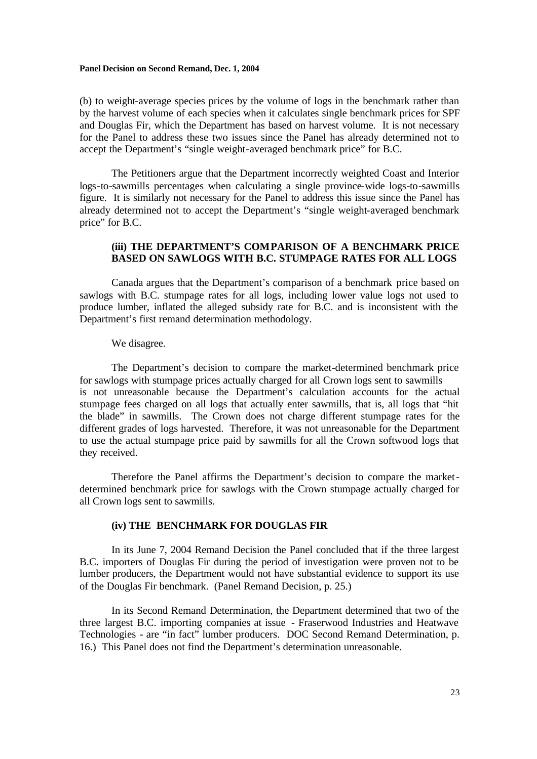(b) to weight-average species prices by the volume of logs in the benchmark rather than by the harvest volume of each species when it calculates single benchmark prices for SPF and Douglas Fir, which the Department has based on harvest volume. It is not necessary for the Panel to address these two issues since the Panel has already determined not to accept the Department's "single weight-averaged benchmark price" for B.C.

The Petitioners argue that the Department incorrectly weighted Coast and Interior logs-to-sawmills percentages when calculating a single province-wide logs-to-sawmills figure. It is similarly not necessary for the Panel to address this issue since the Panel has already determined not to accept the Department's "single weight-averaged benchmark price" for B.C.

# **(iii) THE DEPARTMENT'S COMPARISON OF A BENCHMARK PRICE BASED ON SAWLOGS WITH B.C. STUMPAGE RATES FOR ALL LOGS**

Canada argues that the Department's comparison of a benchmark price based on sawlogs with B.C. stumpage rates for all logs, including lower value logs not used to produce lumber, inflated the alleged subsidy rate for B.C. and is inconsistent with the Department's first remand determination methodology.

### We disagree.

The Department's decision to compare the market-determined benchmark price for sawlogs with stumpage prices actually charged for all Crown logs sent to sawmills is not unreasonable because the Department's calculation accounts for the actual stumpage fees charged on all logs that actually enter sawmills, that is, all logs that "hit the blade" in sawmills. The Crown does not charge different stumpage rates for the different grades of logs harvested. Therefore, it was not unreasonable for the Department to use the actual stumpage price paid by sawmills for all the Crown softwood logs that they received.

Therefore the Panel affirms the Department's decision to compare the marketdetermined benchmark price for sawlogs with the Crown stumpage actually charged for all Crown logs sent to sawmills.

# **(iv) THE BENCHMARK FOR DOUGLAS FIR**

In its June 7, 2004 Remand Decision the Panel concluded that if the three largest B.C. importers of Douglas Fir during the period of investigation were proven not to be lumber producers, the Department would not have substantial evidence to support its use of the Douglas Fir benchmark. (Panel Remand Decision, p. 25.)

In its Second Remand Determination, the Department determined that two of the three largest B.C. importing companies at issue - Fraserwood Industries and Heatwave Technologies - are "in fact" lumber producers. DOC Second Remand Determination, p. 16.) This Panel does not find the Department's determination unreasonable.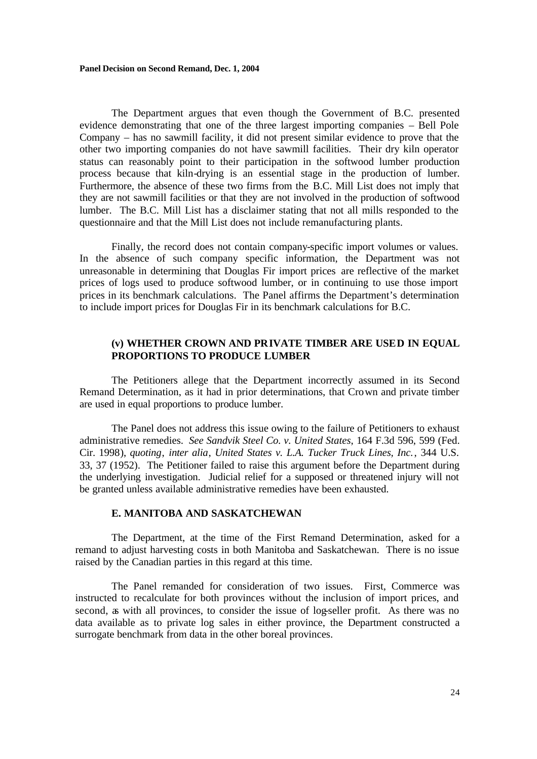The Department argues that even though the Government of B.C. presented evidence demonstrating that one of the three largest importing companies – Bell Pole Company – has no sawmill facility, it did not present similar evidence to prove that the other two importing companies do not have sawmill facilities. Their dry kiln operator status can reasonably point to their participation in the softwood lumber production process because that kiln-drying is an essential stage in the production of lumber. Furthermore, the absence of these two firms from the B.C. Mill List does not imply that they are not sawmill facilities or that they are not involved in the production of softwood lumber. The B.C. Mill List has a disclaimer stating that not all mills responded to the questionnaire and that the Mill List does not include remanufacturing plants.

Finally, the record does not contain company-specific import volumes or values. In the absence of such company specific information, the Department was not unreasonable in determining that Douglas Fir import prices are reflective of the market prices of logs used to produce softwood lumber, or in continuing to use those import prices in its benchmark calculations. The Panel affirms the Department's determination to include import prices for Douglas Fir in its benchmark calculations for B.C.

# **(v) WHETHER CROWN AND PRIVATE TIMBER ARE USED IN EQUAL PROPORTIONS TO PRODUCE LUMBER**

The Petitioners allege that the Department incorrectly assumed in its Second Remand Determination, as it had in prior determinations, that Crown and private timber are used in equal proportions to produce lumber.

The Panel does not address this issue owing to the failure of Petitioners to exhaust administrative remedies. *See Sandvik Steel Co. v. United States*, 164 F.3d 596, 599 (Fed. Cir. 1998), *quoting*, *inter alia*, *United States v. L.A. Tucker Truck Lines, Inc.*, 344 U.S. 33, 37 (1952). The Petitioner failed to raise this argument before the Department during the underlying investigation. Judicial relief for a supposed or threatened injury will not be granted unless available administrative remedies have been exhausted.

### **E. MANITOBA AND SASKATCHEWAN**

The Department, at the time of the First Remand Determination, asked for a remand to adjust harvesting costs in both Manitoba and Saskatchewan. There is no issue raised by the Canadian parties in this regard at this time.

The Panel remanded for consideration of two issues. First, Commerce was instructed to recalculate for both provinces without the inclusion of import prices, and second, as with all provinces, to consider the issue of log-seller profit. As there was no data available as to private log sales in either province, the Department constructed a surrogate benchmark from data in the other boreal provinces.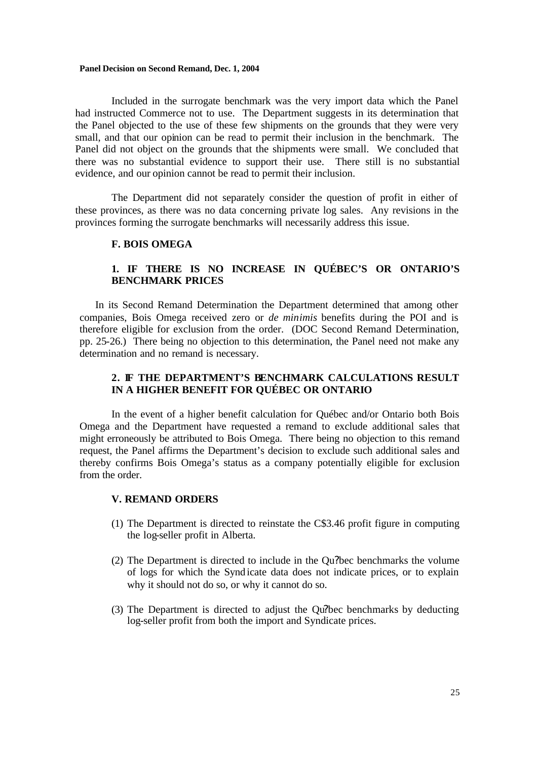Included in the surrogate benchmark was the very import data which the Panel had instructed Commerce not to use. The Department suggests in its determination that the Panel objected to the use of these few shipments on the grounds that they were very small, and that our opinion can be read to permit their inclusion in the benchmark. The Panel did not object on the grounds that the shipments were small. We concluded that there was no substantial evidence to support their use. There still is no substantial evidence, and our opinion cannot be read to permit their inclusion.

The Department did not separately consider the question of profit in either of these provinces, as there was no data concerning private log sales. Any revisions in the provinces forming the surrogate benchmarks will necessarily address this issue.

### **F. BOIS OMEGA**

# **1. IF THERE IS NO INCREASE IN QUÉBEC'S OR ONTARIO'S BENCHMARK PRICES**

In its Second Remand Determination the Department determined that among other companies, Bois Omega received zero or *de minimis* benefits during the POI and is therefore eligible for exclusion from the order. (DOC Second Remand Determination, pp. 25-26.) There being no objection to this determination, the Panel need not make any determination and no remand is necessary.

# **2. IF THE DEPARTMENT'S BENCHMARK CALCULATIONS RESULT IN A HIGHER BENEFIT FOR QUÉBEC OR ONTARIO**

In the event of a higher benefit calculation for Québec and/or Ontario both Bois Omega and the Department have requested a remand to exclude additional sales that might erroneously be attributed to Bois Omega. There being no objection to this remand request, the Panel affirms the Department's decision to exclude such additional sales and thereby confirms Bois Omega's status as a company potentially eligible for exclusion from the order.

# **V. REMAND ORDERS**

- (1) The Department is directed to reinstate the C\$3.46 profit figure in computing the log-seller profit in Alberta.
- (2) The Department is directed to include in the Qu?bec benchmarks the volume of logs for which the Synd icate data does not indicate prices, or to explain why it should not do so, or why it cannot do so.
- (3) The Department is directed to adjust the Qu?bec benchmarks by deducting log-seller profit from both the import and Syndicate prices.